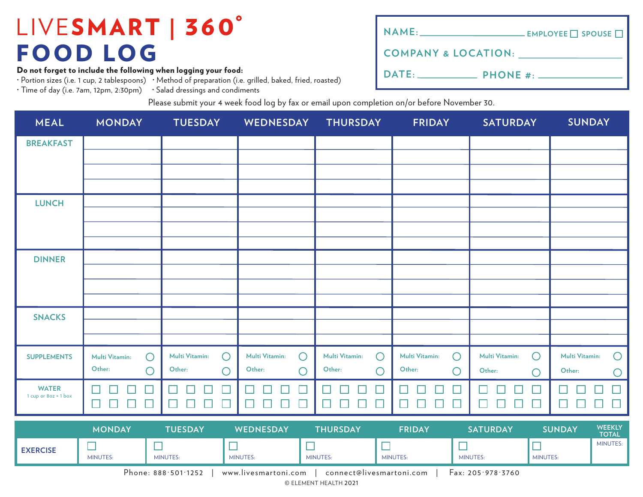Do not forget to include the following when logging your food:

· Portion sizes (i.e. 1 cup, 2 tablespoons) · Method of preparation (i.e. grilled, baked, fried, roasted)

· Time of day (i.e. 7am, 12pm, 2:30pm) · Salad dressings and condiments

| NAME: __________________________________ EMPLOYEE □ SPOUSE □ |  |
|--------------------------------------------------------------|--|
| <b>COMPANY &amp; LOCATION:</b>                               |  |
|                                                              |  |

Please submit your 4 week food log by fax or email upon completion on/or before November 30.

| <b>MEAL</b>                            | <b>MONDAY</b>                                         | <b>TUESDAY</b>                               | WEDNESDAY                                        | <b>THURSDAY</b>                                      | <b>FRIDAY</b>                | <b>SATURDAY</b>                         | <b>SUNDAY</b>                                                            |
|----------------------------------------|-------------------------------------------------------|----------------------------------------------|--------------------------------------------------|------------------------------------------------------|------------------------------|-----------------------------------------|--------------------------------------------------------------------------|
| <b>BREAKFAST</b>                       |                                                       |                                              |                                                  |                                                      |                              |                                         |                                                                          |
|                                        |                                                       |                                              |                                                  |                                                      |                              |                                         |                                                                          |
|                                        |                                                       |                                              |                                                  |                                                      |                              |                                         |                                                                          |
| <b>LUNCH</b>                           |                                                       |                                              |                                                  |                                                      |                              |                                         |                                                                          |
|                                        |                                                       |                                              |                                                  |                                                      |                              |                                         |                                                                          |
|                                        |                                                       |                                              |                                                  |                                                      |                              |                                         |                                                                          |
| <b>DINNER</b>                          |                                                       |                                              |                                                  |                                                      |                              |                                         |                                                                          |
|                                        |                                                       |                                              |                                                  |                                                      |                              |                                         |                                                                          |
|                                        |                                                       |                                              |                                                  |                                                      |                              |                                         |                                                                          |
| <b>SNACKS</b>                          |                                                       |                                              |                                                  |                                                      |                              |                                         |                                                                          |
|                                        |                                                       |                                              |                                                  |                                                      |                              |                                         |                                                                          |
| <b>SUPPLEMENTS</b>                     | $\bigcirc$<br><b>Multi Vitamin:</b>                   | Multi Vitamin:<br>$\bigcirc$                 | Multi Vitamin:<br>$\bigcirc$                     | $\bigcirc$<br>Multi Vitamin:                         | $\bigcirc$<br>Multi Vitamin: | $\bigcirc$<br><b>Multi Vitamin:</b>     | Multi Vitamin:<br>$\bigcirc$                                             |
|                                        | Other:<br>$\bigcirc$                                  | Other:<br>С                                  | Other:<br>$\bigcirc$                             | Other:<br>$\bigcirc$                                 | Other:<br>$\bigcirc$         | Other:<br>$\bigcirc$                    | Other:<br>$\bigcirc$                                                     |
| <b>WATER</b><br>1 cup or $8oz = 1$ box | $\mathbf{I}$<br>$\Box$<br>$\Box$<br>⊔<br>$\mathbf{L}$ | $\Box$<br>$\Box$<br>$\overline{\phantom{a}}$ | $\Box$<br>$\Box$<br>$\Box$<br>$\Box$             | $\Box$<br>$\mathcal{L}_{\mathcal{A}}$<br>ப<br>$\Box$ | $\Box$<br>$\Box$<br>$\Box$   | H<br>$\Box$<br>$\Box$<br>$\Box$<br>⊔    | $\Box$<br>L<br>$\perp$<br>┙                                              |
|                                        | <b><i>ALCOHOL: AND</i></b>                            |                                              | $\sim$ 1200 m $\sim$ 1000 m $\sim$ 1300 m $\sim$ |                                                      | <b>CONTRACTOR</b>            | <b><i>CONTRACTOR AND STRUCTURES</i></b> | <b>MEEVIV</b><br>$\sim$ $\sim$ $\sim$ $\sim$ $\sim$ $\sim$ $\sim$ $\sim$ |

|                                                                                                          | <b>MONDAY</b>   | <b>TUESDAY</b> | WEDNESDAY       | <b>THURSDAY</b> | <b>FRIDAY</b>   | <b>SATURDAY</b> | <b>SUNDAY</b>   | <b>WEEKLY</b><br><b>TOTAL</b> |  |  |
|----------------------------------------------------------------------------------------------------------|-----------------|----------------|-----------------|-----------------|-----------------|-----------------|-----------------|-------------------------------|--|--|
| <b>EXERCISE</b>                                                                                          | <b>MINUTES:</b> | MINUTES:       | <b>MINUTES:</b> | MINUTES:        | <b>MINUTES:</b> | MINUTES:        | <b>MINUTES:</b> | MINUTES:                      |  |  |
| Phone: $888.501.1252$<br>connect@livesmartoni.com<br>$\text{Fax: } 205.978.3760$<br>www.livesmartoni.com |                 |                |                 |                 |                 |                 |                 |                               |  |  |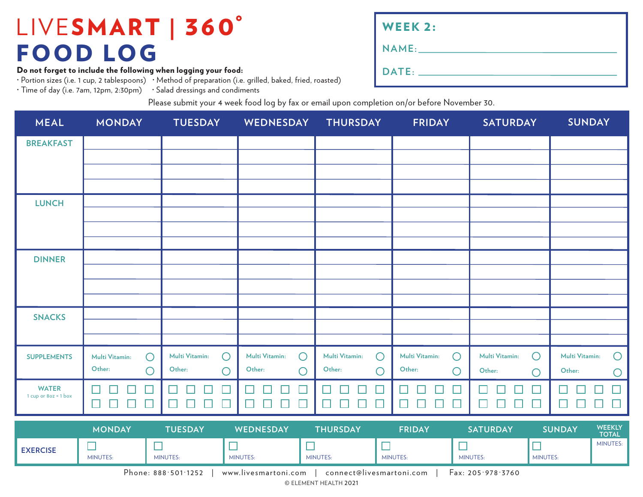Do not forget to include the following when logging your food:

· Portion sizes (i.e. 1 cup, 2 tablespoons) · Method of preparation (i.e. grilled, baked, fried, roasted)

· Time of day (i.e. 7am, 12pm, 2:30pm) · Salad dressings and condiments

| <b>WEEK 2:</b> |  |
|----------------|--|
|                |  |
|                |  |

Please submit your 4 week food log by fax or email upon completion on/or before November 30.

| <b>MEAL</b>                            | <b>MONDAY</b>                         | <b>TUESDAY</b>                      | <b>WEDNESDAY</b>             | <b>THURSDAY</b>              | <b>FRIDAY</b>                | <b>SATURDAY</b>              | <b>SUNDAY</b>                   |
|----------------------------------------|---------------------------------------|-------------------------------------|------------------------------|------------------------------|------------------------------|------------------------------|---------------------------------|
| <b>BREAKFAST</b>                       |                                       |                                     |                              |                              |                              |                              |                                 |
|                                        |                                       |                                     |                              |                              |                              |                              |                                 |
|                                        |                                       |                                     |                              |                              |                              |                              |                                 |
| <b>LUNCH</b>                           |                                       |                                     |                              |                              |                              |                              |                                 |
|                                        |                                       |                                     |                              |                              |                              |                              |                                 |
|                                        |                                       |                                     |                              |                              |                              |                              |                                 |
| <b>DINNER</b>                          |                                       |                                     |                              |                              |                              |                              |                                 |
|                                        |                                       |                                     |                              |                              |                              |                              |                                 |
|                                        |                                       |                                     |                              |                              |                              |                              |                                 |
| <b>SNACKS</b>                          |                                       |                                     |                              |                              |                              |                              |                                 |
|                                        |                                       |                                     |                              |                              |                              |                              |                                 |
| <b>SUPPLEMENTS</b>                     | Multi Vitamin:<br>$\bigcirc$          | <b>Multi Vitamin:</b><br>$\bigcirc$ | Multi Vitamin:<br>$\bigcirc$ | $\bigcirc$<br>Multi Vitamin: | Multi Vitamin:<br>$\bigcirc$ | $\bigcirc$<br>Multi Vitamin: | Multi Vitamin:<br>$\bigcirc$    |
|                                        | Other:<br>$\bigcirc$                  | Other:<br>$\bigcirc$                | Other:<br>$\bigcirc$         | Other:<br>$\bigcirc$         | Other:<br>$\bigcirc$         | Other:<br>$\bigcirc$         | Other:<br>O                     |
| <b>WATER</b><br>1 cup or $8oz = 1$ box | $\mathbf{I}$<br>$\Box$<br>$\Box$<br>□ | $\Box$<br>$\Box$<br>$\Box$          | ┓<br>П<br>$\Box$<br>$\Box$   | I.<br>$\Box$<br>$\Box$<br>⊔  | $\Box$<br>$\Box$<br>□        | ш<br>$\Box$<br>$\Box$<br>□   | $\Box$<br>$\Box$                |
|                                        | <b>NONIDAM</b>                        | $T11000 \ \text{A}$                 | <b>WEDNECDAM</b>             | TIIIORAY                     | <b>FRIRAM</b>                | <b>CATUDDAM</b>              | <b>WEEKIY</b><br><b>CURINAM</b> |

|                                                                                                | <b>MONDAY</b>   | <b>TUESDAY</b> | WEDNESDAY       | <b>THURSDAY</b> | <b>FRIDAY</b>   | <b>SATURDAY</b> | <b>SUNDAY</b>   | <b>WEEKLY</b><br><b>TOTAL</b> |  |  |
|------------------------------------------------------------------------------------------------|-----------------|----------------|-----------------|-----------------|-----------------|-----------------|-----------------|-------------------------------|--|--|
| <b>EXERCISE</b>                                                                                | <b>MINUTES:</b> | MINUTES:       | <b>MINUTES:</b> | <b>MINUTES:</b> | <b>MINUTES:</b> | MINUTES:        | <b>MINUTES:</b> | <b>MINUTES:</b>               |  |  |
| Phone: $888.501.1252$<br>Fax: 205.978.3760<br>connect@livesmartoni.com<br>www.livesmartoni.com |                 |                |                 |                 |                 |                 |                 |                               |  |  |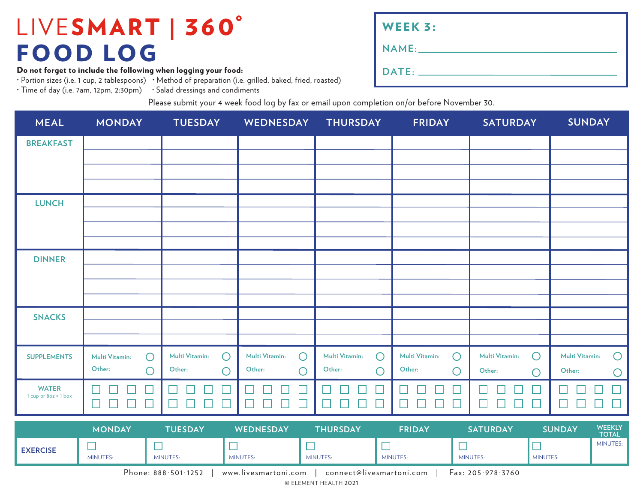Do not forget to include the following when logging your food:

· Portion sizes (i.e. 1 cup, 2 tablespoons) · Method of preparation (i.e. grilled, baked, fried, roasted)

· Time of day (i.e. 7am, 12pm, 2:30pm) · Salad dressings and condiments

| <b>WEEK 3:</b> |
|----------------|
| NAME:          |
| DATE:          |

Please submit your 4 week food log by fax or email upon completion on/or before November 30.

| <b>MEAL</b>                          | <b>MONDAY</b>                          | <b>TUESDAY</b>                         | WEDNESDAY                           | <b>THURSDAY</b>                        | <b>FRIDAY</b>                          | <b>SATURDAY</b>                        | <b>SUNDAY</b>                |
|--------------------------------------|----------------------------------------|----------------------------------------|-------------------------------------|----------------------------------------|----------------------------------------|----------------------------------------|------------------------------|
| <b>BREAKFAST</b>                     |                                        |                                        |                                     |                                        |                                        |                                        |                              |
|                                      |                                        |                                        |                                     |                                        |                                        |                                        |                              |
|                                      |                                        |                                        |                                     |                                        |                                        |                                        |                              |
| <b>LUNCH</b>                         |                                        |                                        |                                     |                                        |                                        |                                        |                              |
|                                      |                                        |                                        |                                     |                                        |                                        |                                        |                              |
|                                      |                                        |                                        |                                     |                                        |                                        |                                        |                              |
| <b>DINNER</b>                        |                                        |                                        |                                     |                                        |                                        |                                        |                              |
|                                      |                                        |                                        |                                     |                                        |                                        |                                        |                              |
|                                      |                                        |                                        |                                     |                                        |                                        |                                        |                              |
| <b>SNACKS</b>                        |                                        |                                        |                                     |                                        |                                        |                                        |                              |
|                                      |                                        |                                        |                                     |                                        |                                        |                                        |                              |
| <b>SUPPLEMENTS</b>                   | Multi Vitamin:<br>$\bigcirc$<br>Other: | Multi Vitamin:<br>$\bigcirc$<br>Other: | Multi Vitamin:<br>$\circ$<br>Other: | Multi Vitamin:<br>$\bigcirc$<br>Other: | $\bigcirc$<br>Multi Vitamin:<br>Other: | Multi Vitamin:<br>$\bigcirc$<br>Other: | Multi Vitamin:<br>$\bigcirc$ |
|                                      | $\bigcirc$                             | O                                      | $\bigcirc$                          | $\bigcirc$                             | $\bigcirc$                             | $\bigcirc$                             | Other:<br>$\bigcirc$         |
| <b>WATER</b><br>1 cup or 8oz = 1 box | $\mathcal{L}$<br>$\Box$<br>L<br>H<br>⊔ | H<br>ப<br>L<br>L                       | $\Box$<br>$\mathbf{L}$<br>×.        | $\Box$<br>⊔<br>H<br>L                  | $\Box$<br>Ш<br>$\mathbf{L}$            | $\Box$<br>┙<br>L<br>H                  | $\Box$<br>$\Box$             |
|                                      | <b>MONDAY</b>                          | <b>TUESDAY</b>                         | WEDNESDAY                           | <b>THURSDAY</b>                        | <b>FRIDAY</b>                          | <b>SATURDAY</b>                        | WEEKLY<br><b>SUNDAY</b>      |

|                 | MONDAY          | TUESDAY  | <b>WEDNESDAY</b> | THURSDAY        | <b>FRIDAY</b>   | SATURDAY                                                                        | <b>ISUNDAY</b> | <b>VYEENLI</b><br><b>TOTAL</b> |
|-----------------|-----------------|----------|------------------|-----------------|-----------------|---------------------------------------------------------------------------------|----------------|--------------------------------|
| <b>EXERCISE</b> | <b>MINUTES:</b> | MINUTES: | MINUTES:         | <b>MINUTES:</b> | <b>MINUTES:</b> | MINUTES:                                                                        | MINUTES:       | <b>MINUTES:</b>                |
|                 | $\sim$ $\sim$   |          |                  |                 | $-$             | the contract of the contract of the contract of the contract of the contract of |                |                                |

Phone: 888·501·1252 | www.livesmartoni.com | connect@livesmartoni.com | Fax: 205·978·3760